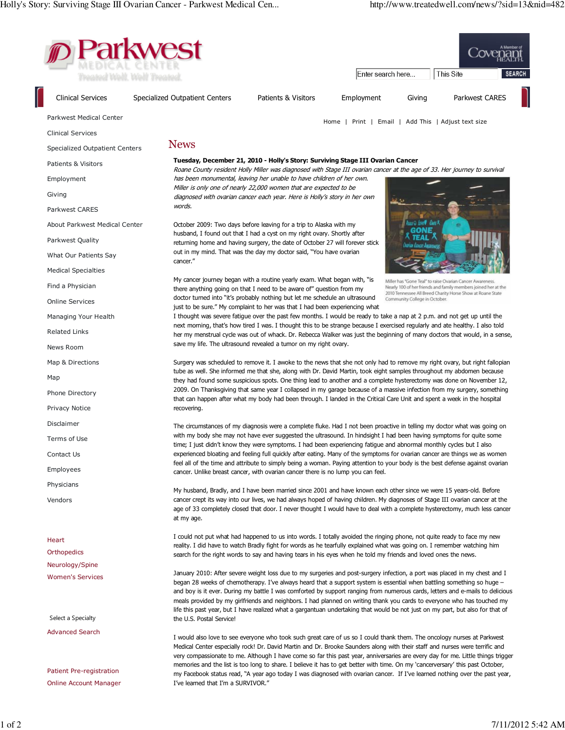

I would also love to see everyone who took such great care of us so I could thank them. The oncology nurses at Parkwest Medical Center especially rock! Dr. David Martin and Dr. Brooke Saunders along with their staff and nurses were terrific and very compassionate to me. Although I have come so far this past year, anniversaries are every day for me. Little things trigger memories and the list is too long to share. I believe it has to get better with time. On my 'cancerversary' this past October, my Facebook status read, "A year ago today I was diagnosed with ovarian cancer. If I've learned nothing over the past year, I've learned that I'm a SURVIVOR."

Patient Pre-registration Online Account Manager